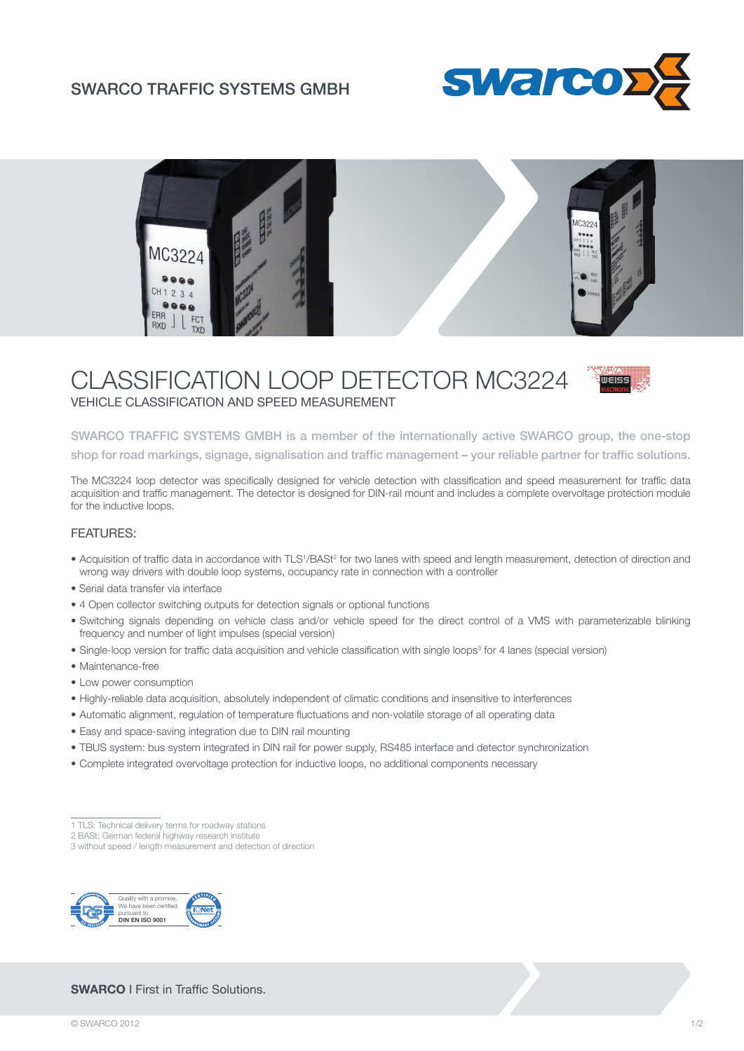### SWARCO TRAFFIC SYSTEMS GMBH





# CLASSIFICATION LOOP DETECTOR MC3224 VEHICLE CLASSIFICATION AND SPEED MEASUREMENT



SWARCO TRAFFIC SYSTEMS GMBH is a member of the internationally active SWARCO group, the one-stop shop for road markings, signage, signalisation and traffic management – your reliable partner for traffic solutions.

The MC3224 loop detector was specifically designed for vehicle detection with classification and speed measurement for traffic data acquisition and traffic management. The detector is designed for DIN-rail mount and includes a complete overvoltage protection module for the inductive loops.

### FEATURES:

- Acquisition of traffic data in accordance with TLS<sup>1</sup>/BASt<sup>2</sup> for two lanes with speed and length measurement, detection of direction and wrong way drivers with double loop systems, occupancy rate in connection with a controller
- Serial data transfer via interface
- 4 Open collector switching outputs for detection signals or optional functions
- Switching signals depending on vehicle class and/or vehicle speed for the direct control of a VMS with parameterizable blinking frequency and number of light impulses (special version)
- Single-loop version for traffic data acquisition and vehicle classification with single loops<sup>3</sup> for 4 lanes (special version)
- Maintenance-free
- Low power consumption
- Highly-reliable data acquisition, absolutely independent of climatic conditions and insensitive to interferences
- Automatic alignment, regulation of temperature fluctuations and non-volatile storage of all operating data
- Easy and space-saving integration due to DIN rail mounting
- TBUS system: bus system integrated in DIN rail for power supply, RS485 interface and detector synchronization
- Complete integrated overvoltage protection for inductive loops, no additional components necessary

3 without speed / length measurement and detection of direction



### **SWARCO** I First in Traffic Solutions.

<sup>1</sup> TLS: Technical delivery terms for roadway stations

<sup>2</sup> BASt: German federal highway research institute